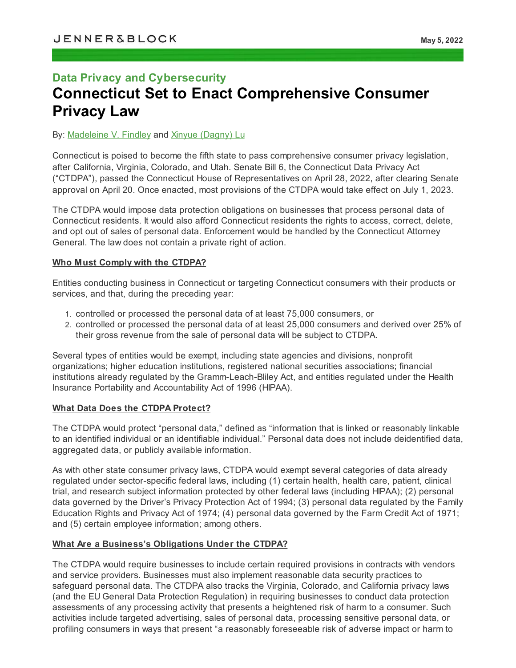# **Data Privacy and Cybersecurity Connecticut Set to Enact Comprehensive Consumer Privacy Law**

## By: [Madeleine](https://jenner.com/people/MadeleineFindley) V. Findley and Xinyue [\(Dagny\)](https://jenner.com/people/XinyueLu) Lu

Connecticut is poised to become the fifth state to pass comprehensive consumer privacy legislation, after California, Virginia, Colorado, and Utah. Senate Bill 6, the Connecticut Data Privacy Act ("CTDPA"), passed the Connecticut House of Representatives on April 28, 2022, after clearing Senate approval on April 20. Once enacted, most provisions of the CTDPA would take effect on July 1, 2023.

The CTDPA would impose data protection obligations on businesses that process personal data of Connecticut residents. It would also afford Connecticut residents the rights to access, correct, delete, and opt out of sales of personal data. Enforcement would be handled by the Connecticut Attorney General. The law does not contain a private right of action.

#### **Who Must Comply with the CTDPA?**

Entities conducting business in Connecticut or targeting Connecticut consumers with their products or services, and that, during the preceding year:

- 1. controlled or processed the personal data of at least 75,000 consumers, or
- 2. controlled or processed the personal data of at least 25,000 consumers and derived over 25% of their gross revenue from the sale of personal data will be subject to CTDPA.

Several types of entities would be exempt, including state agencies and divisions, nonprofit organizations; higher education institutions, registered national securities associations; financial institutions already regulated by the Gramm-Leach-Bliley Act, and entities regulated under the Health Insurance Portability and Accountability Act of 1996 (HIPAA).

## **What Data Does the CTDPA Protect?**

The CTDPA would protect "personal data," defined as "information that is linked or reasonably linkable to an identified individual or an identifiable individual." Personal data does not include deidentified data, aggregated data, or publicly available information.

As with other state consumer privacy laws, CTDPA would exempt several categories of data already regulated under sector-specific federal laws, including (1) certain health, health care, patient, clinical trial, and research subject information protected by other federal laws (including HIPAA); (2) personal data governed by the Driver's Privacy Protection Act of 1994; (3) personal data regulated by the Family Education Rights and Privacy Act of 1974; (4) personal data governed by the Farm Credit Act of 1971; and (5) certain employee information; among others.

## **What Are a Business's Obligations Under the CTDPA?**

The CTDPA would require businesses to include certain required provisions in contracts with vendors and service providers. Businesses must also implement reasonable data security practices to safeguard personal data. The CTDPA also tracks the Virginia, Colorado, and California privacy laws (and the EU General Data Protection Regulation) in requiring businesses to conduct data protection assessments of any processing activity that presents a heightened risk of harm to a consumer. Such activities include targeted advertising, sales of personal data, processing sensitive personal data, or profiling consumers in ways that present "a reasonably foreseeable risk of adverse impact or harm to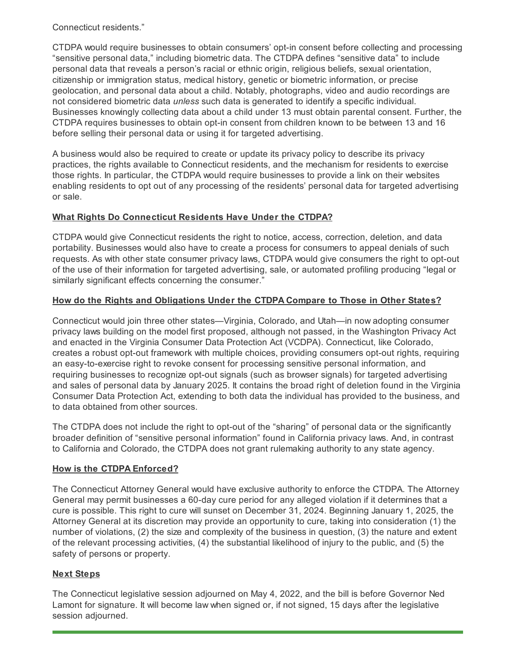Connecticut residents."

CTDPA would require businesses to obtain consumers' opt-in consent before collecting and processing "sensitive personal data," including biometric data. The CTDPA defines "sensitive data" to include personal data that reveals a person's racial or ethnic origin, religious beliefs, sexual orientation, citizenship or immigration status, medical history, genetic or biometric information, or precise geolocation, and personal data about a child. Notably, photographs, video and audio recordings are not considered biometric data *unless* such data is generated to identify a specific individual. Businesses knowingly collecting data about a child under 13 must obtain parental consent. Further, the CTDPA requires businesses to obtain opt-in consent from children known to be between 13 and 16 before selling their personal data or using it for targeted advertising.

A business would also be required to create or update its privacy policy to describe its privacy practices, the rights available to Connecticut residents, and the mechanism for residents to exercise those rights. In particular, the CTDPA would require businesses to provide a link on their websites enabling residents to opt out of any processing of the residents' personal data for targeted advertising or sale.

## **What Rights Do Connecticut Residents Have Under the CTDPA?**

CTDPA would give Connecticut residents the right to notice, access, correction, deletion, and data portability. Businesses would also have to create a process for consumers to appeal denials of such requests. As with other state consumer privacy laws, CTDPA would give consumers the right to opt-out of the use of their information for targeted advertising, sale, or automated profiling producing "legal or similarly significant effects concerning the consumer."

## **How do the Rights and Obligations Under the CTDPA Compare to Those in Other States?**

Connecticut would join three other states—Virginia, Colorado, and Utah—in now adopting consumer privacy laws building on the model first proposed, although not passed, in the Washington Privacy Act and enacted in the Virginia Consumer Data Protection Act (VCDPA). Connecticut, like Colorado, creates a robust opt-out framework with multiple choices, providing consumers opt-out rights, requiring an easy-to-exercise right to revoke consent for processing sensitive personal information, and requiring businesses to recognize opt-out signals (such as browser signals) for targeted advertising and sales of personal data by January 2025. It contains the broad right of deletion found in the Virginia Consumer Data Protection Act, extending to both data the individual has provided to the business, and to data obtained from other sources.

The CTDPA does not include the right to opt-out of the "sharing" of personal data or the significantly broader definition of "sensitive personal information" found in California privacy laws. And, in contrast to California and Colorado, the CTDPA does not grant rulemaking authority to any state agency.

## **How is the CTDPA Enforced?**

The Connecticut Attorney General would have exclusive authority to enforce the CTDPA. The Attorney General may permit businesses a 60-day cure period for any alleged violation if it determines that a cure is possible. This right to cure will sunset on December 31, 2024. Beginning January 1, 2025, the Attorney General at its discretion may provide an opportunity to cure, taking into consideration (1) the number of violations, (2) the size and complexity of the business in question, (3) the nature and extent of the relevant processing activities, (4) the substantial likelihood of injury to the public, and (5) the safety of persons or property.

## **Next Steps**

The Connecticut legislative session adjourned on May 4, 2022, and the bill is before Governor Ned Lamont for signature. It will become law when signed or, if not signed, 15 days after the legislative session adjourned.